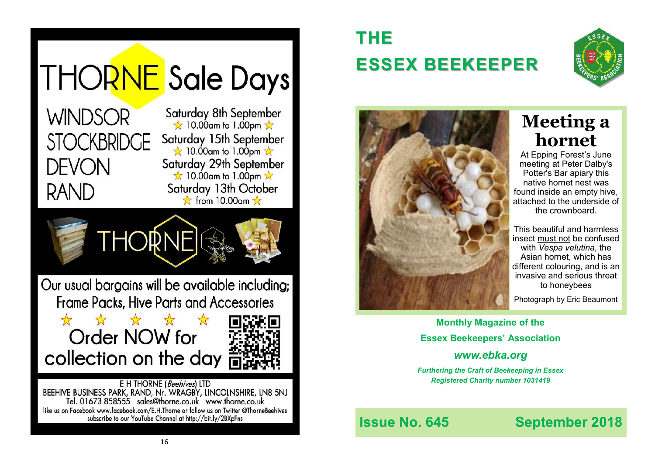

subscribe to our YouTube Channel at http://bit.ly/2BXpFns

# **THE ESSEX BEEKEEPER**





# **Meeting a hornet**

At Epping Forest's June meeting at Peter Dalby's Potter's Bar apiary this native hornet nest was found inside an empty hive, attached to the underside of the crownboard.

This beautiful and harmless insect must not be confused with *Vespa velutina*, [the](https://webmail.tiscali.co.uk/cp/ps/Mail/ExternalURLProxy?d=lineone.net&u=dsmye&url=https://eppingforestbeekeepers.us17.list-manage.com/track/click::cp::2915::cp::u::cp::61::cp::4e84dd6420213fb89f79f6103::cp::38::cp::amp;id::cp::61::cp::9b5a849cfa::cp::38::cp)  [Asian hornet](https://webmail.tiscali.co.uk/cp/ps/Mail/ExternalURLProxy?d=lineone.net&u=dsmye&url=https://eppingforestbeekeepers.us17.list-manage.com/track/click::cp::2915::cp::u::cp::61::cp::4e84dd6420213fb89f79f6103::cp::38::cp::amp;id::cp::61::cp::9b5a849cfa::cp::38::cp)[,](https://webmail.tiscali.co.uk/cp/ps/Mail/ExternalURLProxy?d=lineone.net&u=dsmye&url=https://eppingforestbeekeepers.us17.list-manage.com/track/click::cp::2915::cp::u::cp::61::cp::4e84dd6420213fb89f79f6103::cp::38::cp::amp;id::cp::61::cp::f0a1e660ce::cp::38::cp) which has different colouring, and is an invasive and serious threat to honeybees

Photograph by Eric Beaumont

**Monthly Magazine of the Essex Beekeepers' Association** *www.ebka.org*

# *Furthering the Craft of Beekeeping in Essex*

*Registered Charity number 1031419*

**Issue No. 645 September 2018**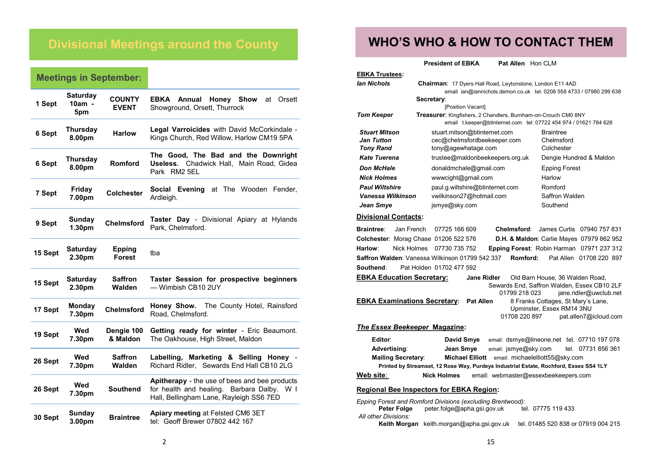## **Divisional Meetings around the County**

### **Meetings in September:**

| 1 Sept  | <b>Saturday</b><br>10am -<br>5pm | <b>COUNTY</b><br><b>EVENT</b>  | EBKA<br>Honey Show<br>Annual<br>at Orsett<br>Showground, Orsett, Thurrock                                                                            |  |
|---------|----------------------------------|--------------------------------|------------------------------------------------------------------------------------------------------------------------------------------------------|--|
| 6 Sept  | Thursday<br>8.00pm               | <b>Harlow</b>                  | <b>Legal Varroicides</b> with David McCorkindale -<br>Kings Church, Red Willow, Harlow CM19 5PA                                                      |  |
| 6 Sept  | <b>Thursday</b><br>8.00pm        | Romford                        | The Good, The Bad and the Downright<br>Chadwick Hall, Main Road, Gidea<br>Useless.<br>Park RM2 5EL                                                   |  |
| 7 Sept  | Friday<br>7.00pm                 | <b>Colchester</b>              | at The Wooden Fender,<br>Social Evening<br>Ardleigh.                                                                                                 |  |
| 9 Sept  | <b>Sunday</b><br>1.30pm          | <b>Chelmsford</b>              | <b>Taster Day</b> - Divisional Apiary at Hylands<br>Park, Chelmsford.                                                                                |  |
| 15 Sept | <b>Saturday</b><br>2.30pm        | <b>Epping</b><br><b>Forest</b> | tba                                                                                                                                                  |  |
| 15 Sept | <b>Saturday</b><br>2.30pm        | <b>Saffron</b><br>Walden       | Taster Session for prospective beginners<br>- Wimbish CB10 2UY                                                                                       |  |
| 17 Sept | Monday<br>7.30pm                 | <b>Chelmsford</b>              | The County Hotel, Rainsford<br>Honey Show.<br>Road, Chelmsford.                                                                                      |  |
| 19 Sept | Wed<br>7.30pm                    | Dengie 100<br>& Maldon         | Getting ready for winter - Eric Beaumont.<br>The Oakhouse, High Street, Maldon                                                                       |  |
| 26 Sept | Wed<br>7.30pm                    | <b>Saffron</b><br>Walden       | Labelling, Marketing & Selling Honey -<br>Richard Ridler. Sewards End Hall CB10 2LG                                                                  |  |
| 26 Sept | Wed<br>7.30pm                    | <b>Southend</b>                | Apitherapy - the use of bees and bee products<br>for health and healing. Barbara Dalby.<br>W <sub>1</sub><br>Hall, Bellingham Lane, Rayleigh SS6 7ED |  |
| 30 Sept | <b>Sunday</b><br>3.00pm          | <b>Braintree</b>               | Apiary meeting at Felsted CM6 3ET<br>tel: Geoff Brewer 07802 442 167                                                                                 |  |

### **WHO'S WHO & HOW TO CONTACT THEM**

**President of EBKA Pat Allen** Hon CLM

| <b>EBKA Trustees:</b>                                                                    |                                                                                     |                                                                 |  |  |  |  |  |
|------------------------------------------------------------------------------------------|-------------------------------------------------------------------------------------|-----------------------------------------------------------------|--|--|--|--|--|
| lan Nichols<br><b>Chairman:</b> 17 Dyers Hall Road, Leytonstone, London E11 4AD          |                                                                                     |                                                                 |  |  |  |  |  |
|                                                                                          | email ian@iannichols.demon.co.uk tel. 0208 558 4733 / 07980 299 638                 |                                                                 |  |  |  |  |  |
|                                                                                          | Secretary:                                                                          |                                                                 |  |  |  |  |  |
| <b>Tom Keeper</b>                                                                        | [Position Vacant]<br>Treasurer: Kingfishers, 2 Chandlers, Burnham-on-Crouch CM0 8NY |                                                                 |  |  |  |  |  |
|                                                                                          | email t.keeper@btinternet.com tel: 07722 454 974 / 01621 784 626                    |                                                                 |  |  |  |  |  |
| <b>Stuart Mitson</b>                                                                     | stuart.mitson@btinternet.com                                                        | <b>Braintree</b>                                                |  |  |  |  |  |
| <b>Jan Tutton</b>                                                                        | cec@chelmsfordbeekeeper.com                                                         | Chelmsford                                                      |  |  |  |  |  |
| <b>Tony Rand</b>                                                                         | tony@agewhatage.com                                                                 | Colchester                                                      |  |  |  |  |  |
| <b>Kate Tuerena</b>                                                                      | trustee@maldonbeekeepers.org.uk                                                     | Dengie Hundred & Maldon                                         |  |  |  |  |  |
| <b>Don McHale</b>                                                                        | donaldmchale@gmail.com                                                              | <b>Epping Forest</b>                                            |  |  |  |  |  |
| <b>Nick Holmes</b>                                                                       | www.cight@gmail.com                                                                 | Harlow                                                          |  |  |  |  |  |
| <b>Paul Wiltshire</b>                                                                    | paul.g.wiltshire@btinternet.com                                                     | Romford                                                         |  |  |  |  |  |
| Vanessa Wilkinson                                                                        | vwilkinson27@hotmail.com                                                            | Saffron Walden                                                  |  |  |  |  |  |
| Jean Smye                                                                                | jsmye@sky.com                                                                       | Southend                                                        |  |  |  |  |  |
| <b>Divisional Contacts:</b>                                                              |                                                                                     |                                                                 |  |  |  |  |  |
| <b>Braintree:</b><br>Jan French                                                          | 07725 166 609<br>Chelmsford:                                                        | James Curtis 07940 757 831                                      |  |  |  |  |  |
| Colchester: Morag Chase 01206 522 576                                                    |                                                                                     | D.H. & Maldon: Carlie Mayes 07979 862 952                       |  |  |  |  |  |
| Harlow:<br>Nick Holmes                                                                   | 07730 735 752                                                                       | Epping Forest: Robin Harman 07971 237 312                       |  |  |  |  |  |
|                                                                                          | Saffron Walden: Vanessa Wilkinson 01799 542 337<br>Romford:                         | Pat Allen 01708 220 897                                         |  |  |  |  |  |
| Southend:                                                                                | Pat Holden 01702 477 592                                                            |                                                                 |  |  |  |  |  |
| <b>EBKA Education Secretary:</b>                                                         | <b>Jane Ridler</b>                                                                  | Old Barn House, 36 Walden Road,                                 |  |  |  |  |  |
|                                                                                          |                                                                                     | Sewards End, Saffron Walden, Essex CB10 2LF                     |  |  |  |  |  |
|                                                                                          | 01799 218 023                                                                       | jane.ridler@uwclub.net                                          |  |  |  |  |  |
| <b>EBKA Examinations Secretary:</b>                                                      | <b>Pat Allen</b>                                                                    | 8 Franks Cottages, St Mary's Lane,<br>Upminster, Essex RM14 3NU |  |  |  |  |  |
|                                                                                          | 01708 220 897                                                                       | pat.allen7@icloud.com                                           |  |  |  |  |  |
| The Essex Beekeeper Magazine:                                                            |                                                                                     |                                                                 |  |  |  |  |  |
| Editor:                                                                                  | David Smye                                                                          | email: dsmye@lineone.net tel. 07710 197 078                     |  |  |  |  |  |
| Advertising:                                                                             | Jean Smye<br>email: jsmye@sky.com                                                   | tel. 07731 856 361                                              |  |  |  |  |  |
| <b>Mailing Secretary:</b><br><b>Michael Elliott</b><br>email: michaelelliott55@sky.com   |                                                                                     |                                                                 |  |  |  |  |  |
| Printed by Streamset, 12 Rose Way, Purdeys Industrial Estate, Rochford, Essex SS4 1LY    |                                                                                     |                                                                 |  |  |  |  |  |
| Web site:                                                                                | <b>Nick Holmes</b><br>email: webmaster@essexbeekeepers.com                          |                                                                 |  |  |  |  |  |
| <b>Regional Bee Inspectors for EBKA Region:</b>                                          |                                                                                     |                                                                 |  |  |  |  |  |
| Epping Forest and Romford Divisions (excluding Brentwood):                               |                                                                                     |                                                                 |  |  |  |  |  |
| Peter Folge<br>peter.folge@apha.gsi.gov.uk<br>tel. 07775 119 433<br>All other Divisions: |                                                                                     |                                                                 |  |  |  |  |  |

**Keith Morgan** keith.morgan@apha.gsi.gov.uk tel. 01485 520 838 or 07919 004 215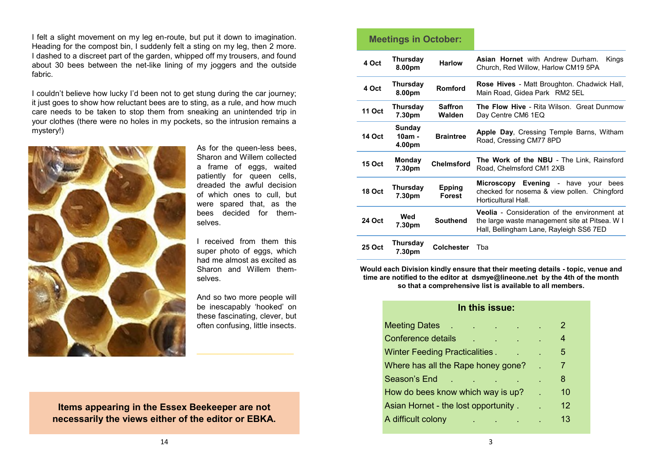I felt a slight movement on my leg en-route, but put it down to imagination. Heading for the compost bin, I suddenly felt a sting on my leg, then 2 more. I dashed to a discreet part of the garden, whipped off my trousers, and found about 30 bees between the net-like lining of my joggers and the outside fabric.

I couldn't believe how lucky I'd been not to get stung during the car journey; it just goes to show how reluctant bees are to sting, as a rule, and how much care needs to be taken to stop them from sneaking an unintended trip in your clothes (there were no holes in my pockets, so the intrusion remains a mystery!)



As for the queen-less bees, Sharon and Willem collected a frame of eggs, waited patiently for queen cells, dreaded the awful decision of which ones to cull, but were spared that, as the bees decided for themselves.

I received from them this super photo of eggs, which had me almost as excited as Sharon and Willem themselves.

And so two more people will be inescapably 'hooked' on these fascinating, clever, but often confusing, little insects.

### **Items appearing in the Essex Beekeeper are not necessarily the views either of the editor or EBKA.**

| <b>Meetings in October:</b> |                              |                                |                                                                                                                                                  |  |
|-----------------------------|------------------------------|--------------------------------|--------------------------------------------------------------------------------------------------------------------------------------------------|--|
| 4 Oct                       | Thursday<br>8.00pm           | <b>Harlow</b>                  | <b>Asian Hornet</b> with Andrew Durham.<br>Kings<br>Church, Red Willow, Harlow CM19 5PA                                                          |  |
| 4 Oct                       | <b>Thursday</b><br>8.00pm    | Romford                        | <b>Rose Hives</b> - Matt Broughton. Chadwick Hall,<br>Main Road, Gidea Park RM2 5EL                                                              |  |
| <b>11 Oct</b>               | <b>Thursday</b><br>7.30pm    | <b>Saffron</b><br>Walden       | <b>The Flow Hive - Rita Wilson. Great Dunmow</b><br>Day Centre CM6 1EQ                                                                           |  |
| 14 Oct                      | Sunday<br>$10am -$<br>4.00pm | <b>Braintree</b>               | <b>Apple Day, Cressing Temple Barns, Witham</b><br>Road, Cressing CM77 8PD                                                                       |  |
| <b>15 Oct</b>               | Monday<br>7.30pm             | <b>Chelmsford</b>              | The Work of the NBU - The Link, Rainsford<br>Road, Chelmsford CM1 2XB                                                                            |  |
| 18 Oct                      | Thursday<br>7.30pm           | <b>Epping</b><br><b>Forest</b> | Microscopy Evening - have<br>vour<br>bees<br>checked for nosema & view pollen. Chingford<br>Horticultural Hall.                                  |  |
| <b>24 Oct</b>               | Wed<br>7.30pm                | <b>Southend</b>                | <b>Veolia</b> - Consideration of the environment at<br>the large waste management site at Pitsea. W I<br>Hall, Bellingham Lane, Rayleigh SS6 7ED |  |
| <b>25 Oct</b>               | Thursday<br>7.30pm           | Colchester                     | Tha                                                                                                                                              |  |

**Would each Division kindly ensure that their meeting details - topic, venue and time are notified to the editor at dsmye@lineone.net by the 4th of the month so that a comprehensive list is available to all members.** 

#### **In this issue:**

| <b>Meeting Dates</b>                       |    | 2  |
|--------------------------------------------|----|----|
| Conference details                         | ä, | 4  |
| <b>Winter Feeding Practicalities.</b><br>٠ | ä, | 5  |
| Where has all the Rape honey gone?         |    | 7  |
| Season's End                               |    | 8  |
| How do bees know which way is up?          |    | 10 |
| Asian Hornet - the lost opportunity.       |    | 12 |
| A difficult colony                         |    | 13 |
|                                            |    |    |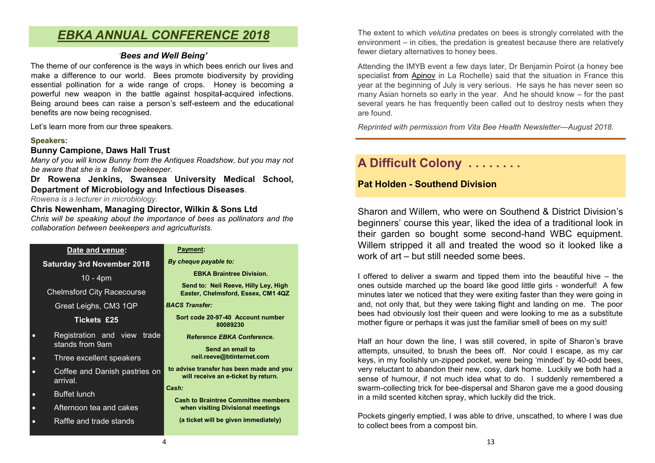### *EBKA ANNUAL CONFERENCE 2018*

#### *'Bees and Well Being'*

The theme of our conference is the ways in which bees enrich our lives and make a difference to our world. Bees promote biodiversity by providing essential pollination for a wide range of crops. Honey is becoming a powerful new weapon in the battle against hospita**l**-acquired infections. Being around bees can raise a person's self-esteem and the educational benefits are now being recognised.

Let's learn more from our three speakers.

#### **Speakers:**

#### **Bunny Campione, Daws Hall Trust**

*Many of you will know Bunny from the Antiques Roadshow, but you may not be aware that she is a fellow beekeeper.* 

**Dr Rowena Jenkins, Swansea University Medical School, Department of Microbiology and Infectious Diseases**.

*Rowena is a lecturer in microbiology*.

#### **Chris Newenham, Managing Director, Wilkin & Sons Ltd**

*Chris will be speaking about the importance of bees as pollinators and the collaboration between beekeepers and agriculturists.*

| Date and venue:                                             | <b>Payment:</b>                                                                |  |
|-------------------------------------------------------------|--------------------------------------------------------------------------------|--|
| <b>Saturday 3rd November 2018</b>                           | By cheque payable to:                                                          |  |
| $10 - 4pm$                                                  | <b>EBKA Braintree Division.</b>                                                |  |
| <b>Chelmsford City Racecourse</b>                           | Send to: Neil Reeve, Hilly Ley, High<br>Easter, Chelmsford, Essex, CM1 4       |  |
| Great Leighs, CM3 1QP                                       | <b>BACS Transfer:</b>                                                          |  |
| Tickets £25                                                 | Sort code 20-97-40 Account numbe<br>80089230                                   |  |
| Registration and view<br>trade<br>$\Box$<br>stands from 9am | Reference EBKA Conference.<br>Send an email to                                 |  |
| Three excellent speakers<br>$\bullet$                       | neil.reeve@btinternet.com                                                      |  |
| Coffee and Danish pastries on<br>$\bullet$<br>arrival.      | to advise transfer has been made and<br>will receive an e-ticket by return.    |  |
| <b>Buffet lunch</b><br>$\bullet$                            | Cash:                                                                          |  |
| Afternoon tea and cakes<br>$\bullet$                        | <b>Cash to Braintree Committee member</b><br>when visiting Divisional meetings |  |
| Raffle and trade stands                                     | (a ticket will be given immediately)                                           |  |
|                                                             |                                                                                |  |

**Send to: Neil Reeve, Hilly Ley, High Easter, Chelmsford, Essex, CM1 4QZ** 

**Sort code 20-97-40 Account number** 

**to advise transfer has been made and you** 

**Cash to Braintree Committee members** 

The extent to which *velutina* predates on bees is strongly correlated with the environment – in cities, the predation is greatest because there are relatively fewer dietary alternatives to honey bees.

Attending the IMYB event a few days later, Dr Benjamin Poirot (a honey bee specialist from [Apinov](https://www.apinov.com/en/) in La Rochelle) said that the situation in France this year at the beginning of July is very serious. He says he has never seen so many Asian hornets so early in the year. And he should know – for the past several years he has frequently been called out to destroy nests when they are found.

*Reprinted with permission from Vita Bee Health Newsletter—August 2018.*

### **A Difficult Colony . . . . . . . .**

### **Pat Holden - Southend Division**

Sharon and Willem, who were on Southend & District Division's beginners' course this year, liked the idea of a traditional look in their garden so bought some second-hand WBC equipment. Willem stripped it all and treated the wood so it looked like a work of art – but still needed some bees.

I offered to deliver a swarm and tipped them into the beautiful hive – the ones outside marched up the board like good little girls - wonderful! A few minutes later we noticed that they were exiting faster than they were going in and, not only that, but they were taking flight and landing on me. The poor bees had obviously lost their queen and were looking to me as a substitute mother figure or perhaps it was just the familiar smell of bees on my suit!

Half an hour down the line, I was still covered, in spite of Sharon's brave attempts, unsuited, to brush the bees off. Nor could I escape, as my car keys, in my foolishly un-zipped pocket, were being 'minded' by 40-odd bees, very reluctant to abandon their new, cosy, dark home. Luckily we both had a sense of humour, if not much idea what to do. I suddenly remembered a swarm-collecting trick for bee-dispersal and Sharon gave me a good dousing in a mild scented kitchen spray, which luckily did the trick.

Pockets gingerly emptied, I was able to drive, unscathed, to where I was due to collect bees from a compost bin.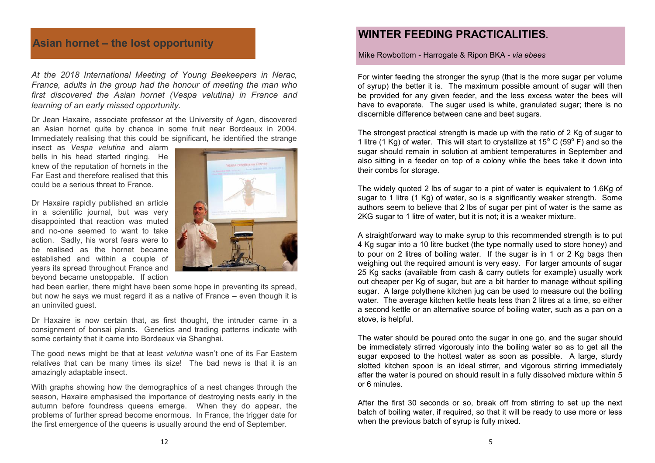### **Asian hornet – the lost opportunity**

*At the 2018 International Meeting of Young Beekeepers in Nerac, France, adults in the group had the honour of meeting the man who first discovered the Asian hornet (Vespa velutina) in France and learning of an early missed opportunity.*

Dr Jean Haxaire, associate professor at the University of Agen, discovered an Asian hornet quite by chance in some fruit near Bordeaux in 2004. Immediately realising that this could be significant, he identified the strange

insect as *Vespa velutina* and alarm bells in his head started ringing. He knew of the reputation of hornets in the Far East and therefore realised that this could be a serious threat to France.

Dr Haxaire rapidly published an article in a scientific journal, but was very disappointed that reaction was muted and no-one seemed to want to take action. Sadly, his worst fears were to be realised as the hornet became established and within a couple of years its spread throughout France and beyond became unstoppable. If action



had been earlier, there might have been some hope in preventing its spread, but now he says we must regard it as a native of France – even though it is an uninvited guest.

Dr Haxaire is now certain that, as first thought, the intruder came in a consignment of bonsai plants. Genetics and trading patterns indicate with some certainty that it came into Bordeaux via Shanghai.

The good news might be that at least *velutina* wasn't one of its Far Eastern relatives that can be many times its size! The bad news is that it is an amazingly adaptable insect.

With graphs showing how the demographics of a nest changes through the season, Haxaire emphasised the importance of destroying nests early in the autumn before foundress queens emerge. When they do appear, the problems of further spread become enormous. In France, the trigger date for the first emergence of the queens is usually around the end of September.

### **WINTER FEEDING PRACTICALITIES.**

Mike Rowbottom - Harrogate & Ripon BKA - *via ebees*

For winter feeding the stronger the syrup (that is the more sugar per volume of syrup) the better it is. The maximum possible amount of sugar will then be provided for any given feeder, and the less excess water the bees will have to evaporate. The sugar used is white, granulated sugar; there is no discernible difference between cane and beet sugars.

The strongest practical strength is made up with the ratio of 2 Kg of sugar to 1 litre (1 Kg) of water. This will start to crystallize at  $15^{\circ}$  C (59 $^{\circ}$  F) and so the sugar should remain in solution at ambient temperatures in September and also sitting in a feeder on top of a colony while the bees take it down into their combs for storage.

The widely quoted 2 lbs of sugar to a pint of water is equivalent to 1.6Kg of sugar to 1 litre (1 Kg) of water, so is a significantly weaker strength. Some authors seem to believe that 2 lbs of sugar per pint of water is the same as 2KG sugar to 1 litre of water, but it is not; it is a weaker mixture.

A straightforward way to make syrup to this recommended strength is to put 4 Kg sugar into a 10 litre bucket (the type normally used to store honey) and to pour on 2 litres of boiling water. If the sugar is in 1 or 2 Kg bags then weighing out the required amount is very easy. For larger amounts of sugar 25 Kg sacks (available from cash & carry outlets for example) usually work out cheaper per Kg of sugar, but are a bit harder to manage without spilling sugar. A large polythene kitchen jug can be used to measure out the boiling water. The average kitchen kettle heats less than 2 litres at a time, so either a second kettle or an alternative source of boiling water, such as a pan on a stove, is helpful.

The water should be poured onto the sugar in one go, and the sugar should be immediately stirred vigorously into the boiling water so as to get all the sugar exposed to the hottest water as soon as possible. A large, sturdy slotted kitchen spoon is an ideal stirrer, and vigorous stirring immediately after the water is poured on should result in a fully dissolved mixture within 5 or 6 minutes.

After the first 30 seconds or so, break off from stirring to set up the next batch of boiling water, if required, so that it will be ready to use more or less when the previous batch of syrup is fully mixed.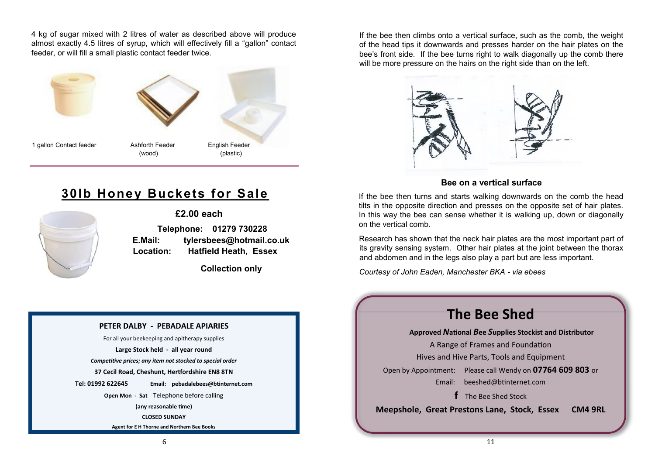4 kg of sugar mixed with 2 litres of water as described above will produce almost exactly 4.5 litres of syrup, which will effectively fill a "gallon" contact feeder, or will fill a small plastic contact feeder twice.



**30lb Honey Buckets for Sale** 



**£2.00 each Telephone: 01279 730228 E.Mail: tylersbees@hotmail.co.uk Location: Hatfield Heath, Essex**

 **Collection only**

#### **PETER DALBY - PEBADALE APIARIES**

For all your beekeeping and apitherapy supplies **Large Stock held - all year round** *Competitive prices; any item not stocked to special order* **37 Cecil Road, Cheshunt, Hertfordshire EN8 8TN Tel: 01992 622645 Email: pebadalebees@btinternet.com Open Mon - Sat** Telephone before calling **(any reasonable time) CLOSED SUNDAY Agent for E H Thorne and Northern Bee Books**

If the bee then climbs onto a vertical surface, such as the comb, the weight of the head tips it downwards and presses harder on the hair plates on the bee's front side. If the bee turns right to walk diagonally up the comb there will be more pressure on the hairs on the right side than on the left.



#### **Bee on a vertical surface**

If the bee then turns and starts walking downwards on the comb the head tilts in the opposite direction and presses on the opposite set of hair plates. In this way the bee can sense whether it is walking up, down or diagonally on the vertical comb.

Research has shown that the neck hair plates are the most important part of its gravity sensing system. Other hair plates at the joint between the thorax and abdomen and in the legs also play a part but are less important.

*Courtesy of John Eaden, Manchester BKA - via ebees*

### **The Bee Shed**

**Approved** *N***ational** *B***ee** *S***upplies Stockist and Distributor**

A Range of Frames and Foundation Hives and Hive Parts, Tools and Equipment Open by Appointment: Please call Wendy on **07764 609 803** or Email: [beeshed@btinternet.com](mailto:beeshed@btinternet.com) 

**f** The Bee Shed Stock

**Meepshole, Great Prestons Lane, Stock, Essex CM4 9RL**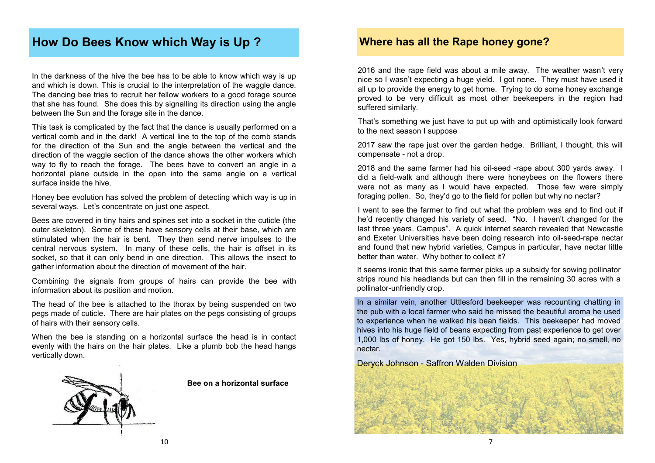### **How Do Bees Know which Way is Up ?**

In the darkness of the hive the bee has to be able to know which way is up and which is down. This is crucial to the interpretation of the waggle dance. The dancing bee tries to recruit her fellow workers to a good forage source that she has found. She does this by signalling its direction using the angle between the Sun and the forage site in the dance.

This task is complicated by the fact that the dance is usually performed on a vertical comb and in the dark! A vertical line to the top of the comb stands for the direction of the Sun and the angle between the vertical and the direction of the waggle section of the dance shows the other workers which way to fly to reach the forage. The bees have to convert an angle in a horizontal plane outside in the open into the same angle on a vertical surface inside the hive.

Honey bee evolution has solved the problem of detecting which way is up in several ways. Let's concentrate on just one aspect.

Bees are covered in tiny hairs and spines set into a socket in the cuticle (the outer skeleton). Some of these have sensory cells at their base, which are stimulated when the hair is bent. They then send nerve impulses to the central nervous system. In many of these cells, the hair is offset in its socket, so that it can only bend in one direction. This allows the insect to gather information about the direction of movement of the hair.

Combining the signals from groups of hairs can provide the bee with information about its position and motion.

The head of the bee is attached to the thorax by being suspended on two pegs made of cuticle. There are hair plates on the pegs consisting of groups of hairs with their sensory cells.

When the bee is standing on a horizontal surface the head is in contact evenly with the hairs on the hair plates. Like a plumb bob the head hangs vertically down.



**Bee on a horizontal surface**

### **Where has all the Rape honey gone?**

2016 and the rape field was about a mile away. The weather wasn't very nice so I wasn't expecting a huge yield. I got none. They must have used it all up to provide the energy to get home. Trying to do some honey exchange proved to be very difficult as most other beekeepers in the region had suffered similarly.

That's something we just have to put up with and optimistically look forward to the next season I suppose

2017 saw the rape just over the garden hedge. Brilliant, I thought, this will compensate - not a drop.

2018 and the same farmer had his oil-seed -rape about 300 yards away. I did a field-walk and although there were honeybees on the flowers there were not as many as I would have expected. Those few were simply foraging pollen. So, they'd go to the field for pollen but why no nectar?

I went to see the farmer to find out what the problem was and to find out if he'd recently changed his variety of seed. "No. I haven't changed for the last three years. Campus". A quick internet search revealed that Newcastle and Exeter Universities have been doing research into oil-seed-rape nectar and found that new hybrid varieties, Campus in particular, have nectar little better than water. Why bother to collect it?

It seems ironic that this same farmer picks up a subsidy for sowing pollinator strips round his headlands but can then fill in the remaining 30 acres with a pollinator-unfriendly crop.

In a similar vein, another Uttlesford beekeeper was recounting chatting in the pub with a local farmer who said he missed the beautiful aroma he used to experience when he walked his bean fields. This beekeeper had moved hives into his huge field of beans expecting from past experience to get over 1,000 lbs of honey. He got 150 lbs. Yes, hybrid seed again; no smell, no nectar.

Deryck Johnson - Saffron Walden Division